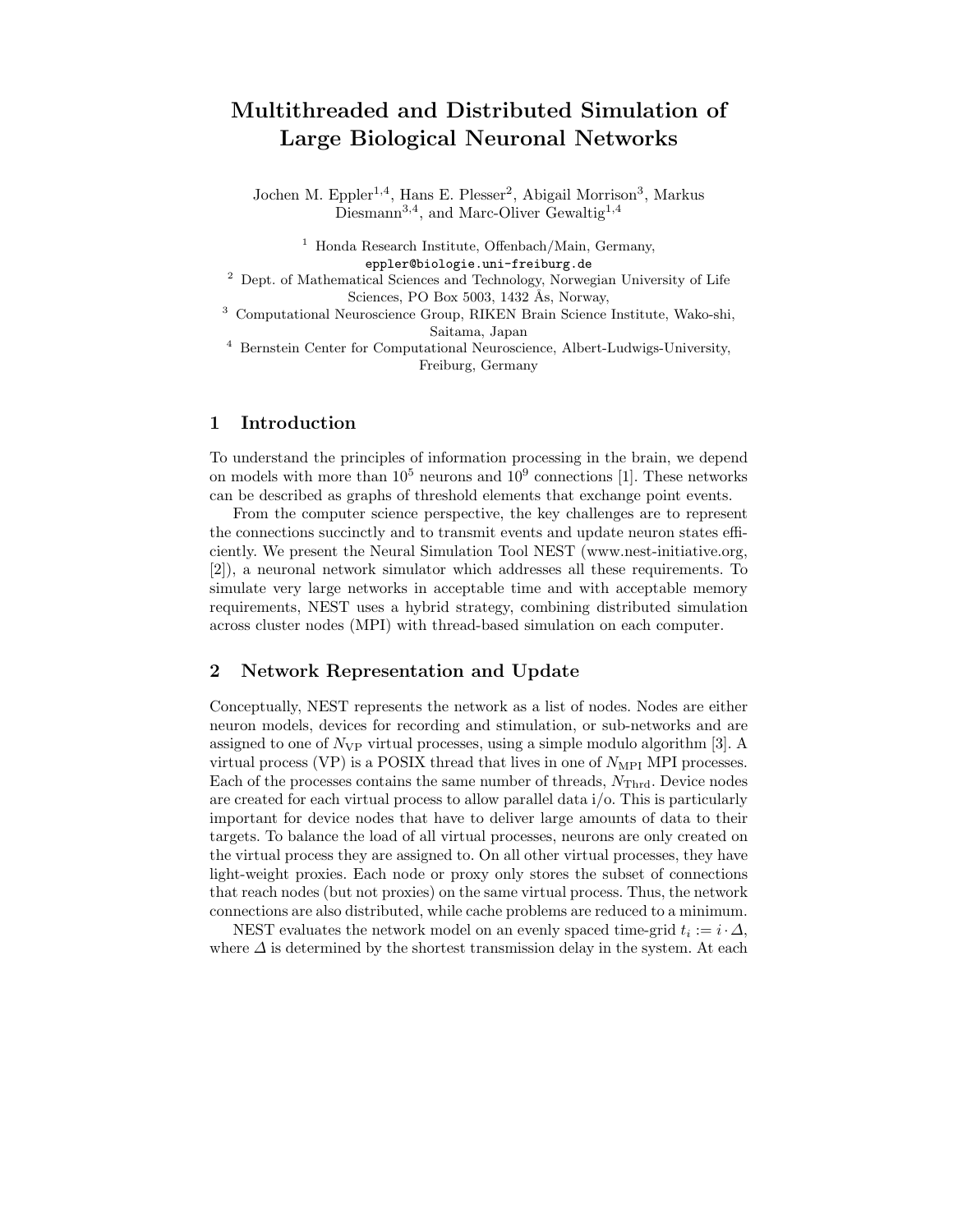# Multithreaded and Distributed Simulation of Large Biological Neuronal Networks

Jochen M. Eppler<sup>1,4</sup>, Hans E. Plesser<sup>2</sup>, Abigail Morrison<sup>3</sup>, Markus Diesmann<sup>3,4</sup>, and Marc-Oliver Gewaltig<sup>1,4</sup>

> <sup>1</sup> Honda Research Institute, Offenbach/Main, Germany, eppler@biologie.uni-freiburg.de

<sup>2</sup> Dept. of Mathematical Sciences and Technology, Norwegian University of Life Sciences, PO Box 5003, 1432 Ås, Norway,

<sup>3</sup> Computational Neuroscience Group, RIKEN Brain Science Institute, Wako-shi, Saitama, Japan

<sup>4</sup> Bernstein Center for Computational Neuroscience, Albert-Ludwigs-University, Freiburg, Germany

## 1 Introduction

To understand the principles of information processing in the brain, we depend on models with more than  $10^5$  neurons and  $10^9$  connections [1]. These networks can be described as graphs of threshold elements that exchange point events.

From the computer science perspective, the key challenges are to represent the connections succinctly and to transmit events and update neuron states efficiently. We present the Neural Simulation Tool NEST (www.nest-initiative.org, [2]), a neuronal network simulator which addresses all these requirements. To simulate very large networks in acceptable time and with acceptable memory requirements, NEST uses a hybrid strategy, combining distributed simulation across cluster nodes (MPI) with thread-based simulation on each computer.

# 2 Network Representation and Update

Conceptually, NEST represents the network as a list of nodes. Nodes are either neuron models, devices for recording and stimulation, or sub-networks and are assigned to one of  $N_{VP}$  virtual processes, using a simple modulo algorithm [3]. A virtual process (VP) is a POSIX thread that lives in one of  $N_{\text{MPI}}$  MPI processes. Each of the processes contains the same number of threads,  $N_{\text{Thrd}}$ . Device nodes are created for each virtual process to allow parallel data  $i/\sigma$ . This is particularly important for device nodes that have to deliver large amounts of data to their targets. To balance the load of all virtual processes, neurons are only created on the virtual process they are assigned to. On all other virtual processes, they have light-weight proxies. Each node or proxy only stores the subset of connections that reach nodes (but not proxies) on the same virtual process. Thus, the network connections are also distributed, while cache problems are reduced to a minimum.

NEST evaluates the network model on an evenly spaced time-grid  $t_i := i \cdot \Delta$ , where  $\Delta$  is determined by the shortest transmission delay in the system. At each